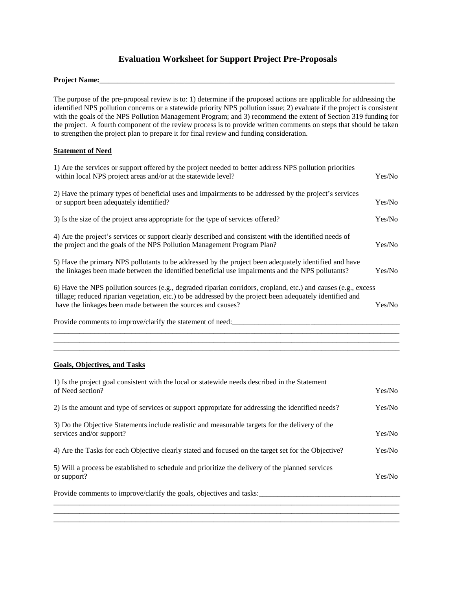# **Evaluation Worksheet for Support Project Pre-Proposals**

#### Project Name:

The purpose of the pre-proposal review is to: 1) determine if the proposed actions are applicable for addressing the identified NPS pollution concerns or a statewide priority NPS pollution issue; 2) evaluate if the project is consistent with the goals of the NPS Pollution Management Program; and 3) recommend the extent of Section 319 funding for the project. A fourth component of the review process is to provide written comments on steps that should be taken to strengthen the project plan to prepare it for final review and funding consideration.

#### **Statement of Need**

| 1) Are the services or support offered by the project needed to better address NPS pollution priorities<br>within local NPS project areas and/or at the statewide level?                                                                                                                   | Yes/No |
|--------------------------------------------------------------------------------------------------------------------------------------------------------------------------------------------------------------------------------------------------------------------------------------------|--------|
| 2) Have the primary types of beneficial uses and impairments to be addressed by the project's services<br>or support been adequately identified?                                                                                                                                           | Yes/No |
| 3) Is the size of the project area appropriate for the type of services offered?                                                                                                                                                                                                           | Yes/No |
| 4) Are the project's services or support clearly described and consistent with the identified needs of<br>the project and the goals of the NPS Pollution Management Program Plan?                                                                                                          | Yes/No |
| 5) Have the primary NPS pollutants to be addressed by the project been adequately identified and have<br>the linkages been made between the identified beneficial use impairments and the NPS pollutants?                                                                                  | Yes/No |
| 6) Have the NPS pollution sources (e.g., degraded riparian corridors, cropland, etc.) and causes (e.g., excess<br>tillage; reduced riparian vegetation, etc.) to be addressed by the project been adequately identified and<br>have the linkages been made between the sources and causes? | Yes/No |
| Provide comments to improve/clarify the statement of need:                                                                                                                                                                                                                                 |        |
|                                                                                                                                                                                                                                                                                            |        |

### **Goals, Objectives, and Tasks**

| 1) Is the project goal consistent with the local or statewide needs described in the Statement<br>of Need section?          | Yes/No |
|-----------------------------------------------------------------------------------------------------------------------------|--------|
| 2) Is the amount and type of services or support appropriate for addressing the identified needs?                           | Yes/No |
| 3) Do the Objective Statements include realistic and measurable targets for the delivery of the<br>services and/or support? | Yes/No |
| 4) Are the Tasks for each Objective clearly stated and focused on the target set for the Objective?                         | Yes/No |
| 5) Will a process be established to schedule and prioritize the delivery of the planned services<br>or support?             | Yes/No |
| Provide comments to improve/clarify the goals, objectives and tasks:                                                        |        |
|                                                                                                                             |        |

\_\_\_\_\_\_\_\_\_\_\_\_\_\_\_\_\_\_\_\_\_\_\_\_\_\_\_\_\_\_\_\_\_\_\_\_\_\_\_\_\_\_\_\_\_\_\_\_\_\_\_\_\_\_\_\_\_\_\_\_\_\_\_\_\_\_\_\_\_\_\_\_\_\_\_\_\_\_\_\_\_\_\_\_\_\_\_\_\_\_\_\_\_

\_\_\_\_\_\_\_\_\_\_\_\_\_\_\_\_\_\_\_\_\_\_\_\_\_\_\_\_\_\_\_\_\_\_\_\_\_\_\_\_\_\_\_\_\_\_\_\_\_\_\_\_\_\_\_\_\_\_\_\_\_\_\_\_\_\_\_\_\_\_\_\_\_\_\_\_\_\_\_\_\_\_\_\_\_\_\_\_\_\_\_\_\_